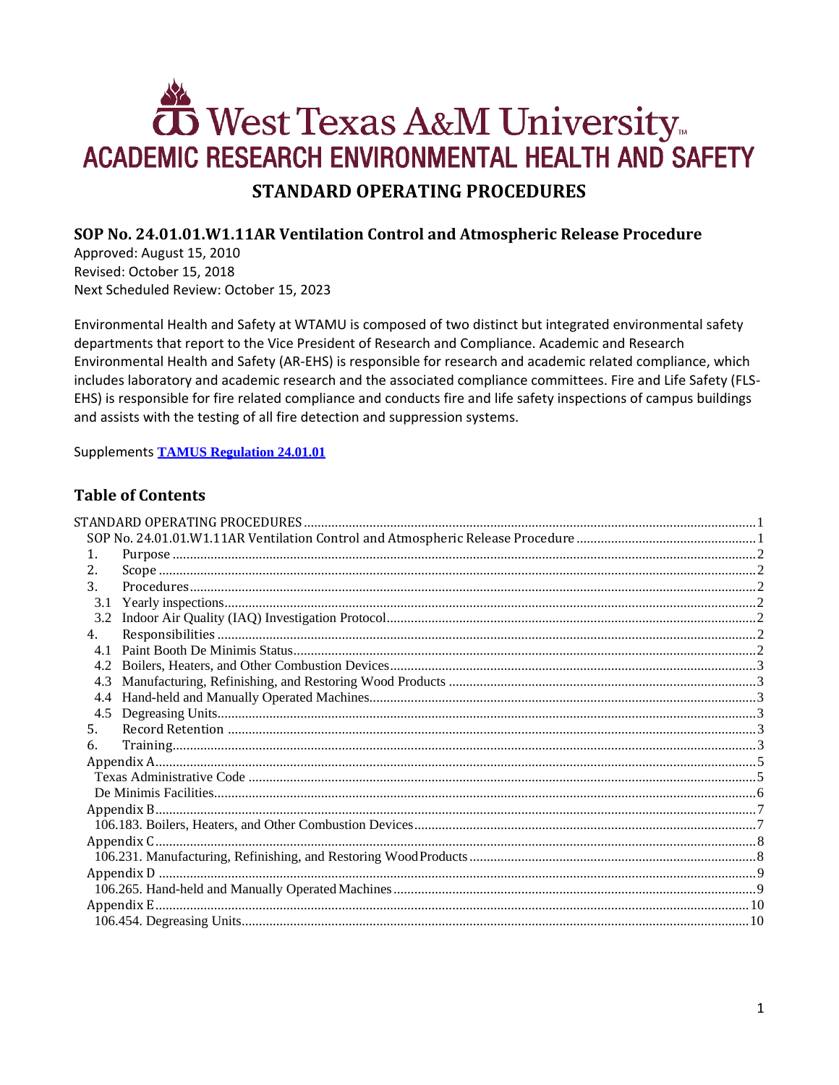# **OD** West Texas A&M University ACADEMIC RESEARCH ENVIRONMENTAL HEALTH AND SAFETY **STANDARD OPERATING PROCEDURES**

## <span id="page-0-1"></span><span id="page-0-0"></span>SOP No. 24.01.01.W1.11AR Ventilation Control and Atmospheric Release Procedure

Approved: August 15, 2010 Revised: October 15, 2018 Next Scheduled Review: October 15, 2023

Environmental Health and Safety at WTAMU is composed of two distinct but integrated environmental safety departments that report to the Vice President of Research and Compliance. Academic and Research Environmental Health and Safety (AR-EHS) is responsible for research and academic related compliance, which includes laboratory and academic research and the associated compliance committees. Fire and Life Safety (FLS-EHS) is responsible for fire related compliance and conducts fire and life safety inspections of campus buildings and assists with the testing of all fire detection and suppression systems.

**Supplements TAMUS Regulation 24.01.01** 

## **Table of Contents**

| 3.1 | 4.3 |  |
|-----|-----|--|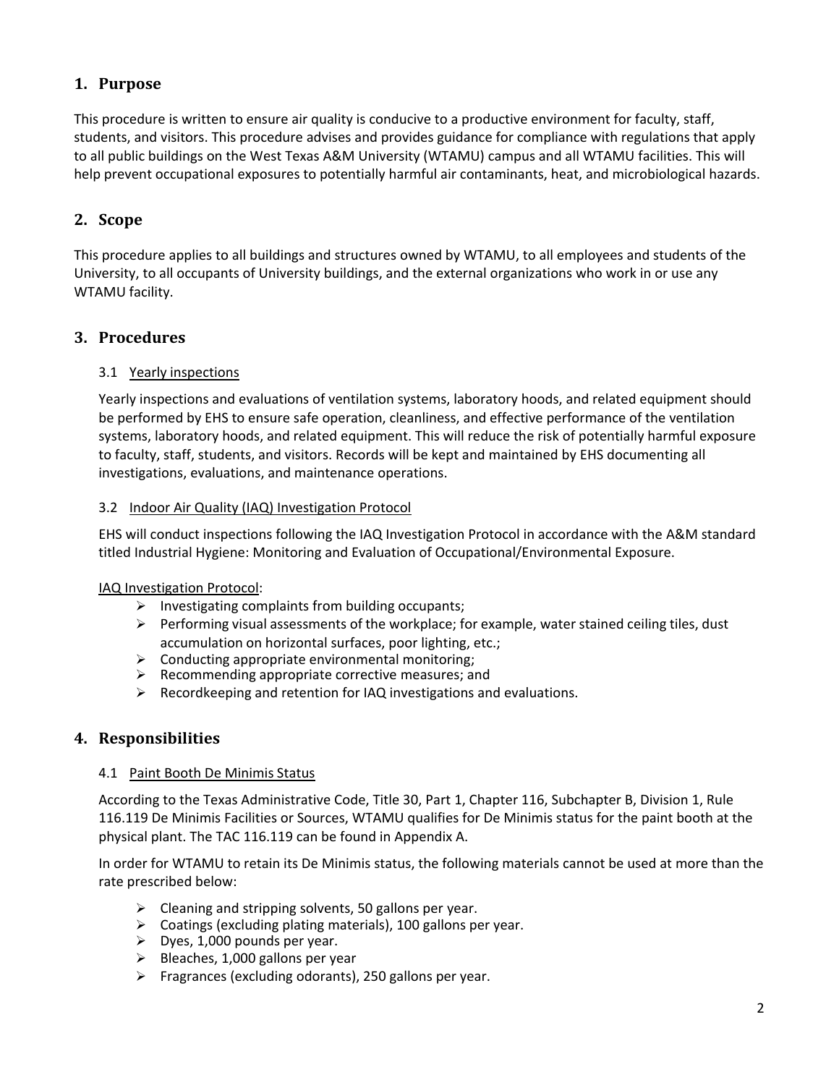## <span id="page-1-0"></span>**1. Purpose**

This procedure is written to ensure air quality is conducive to a productive environment for faculty, staff, students, and visitors. This procedure advises and provides guidance for compliance with regulations that apply to all public buildings on the West Texas A&M University (WTAMU) campus and all WTAMU facilities. This will help prevent occupational exposures to potentially harmful air contaminants, heat, and microbiological hazards.

## <span id="page-1-1"></span>**2. Scope**

This procedure applies to all buildings and structures owned by WTAMU, to all employees and students of the University, to all occupants of University buildings, and the external organizations who work in or use any WTAMU facility.

## <span id="page-1-2"></span>**3. Procedures**

## <span id="page-1-3"></span>3.1 Yearly inspections

Yearly inspections and evaluations of ventilation systems, laboratory hoods, and related equipment should be performed by EHS to ensure safe operation, cleanliness, and effective performance of the ventilation systems, laboratory hoods, and related equipment. This will reduce the risk of potentially harmful exposure to faculty, staff, students, and visitors. Records will be kept and maintained by EHS documenting all investigations, evaluations, and maintenance operations.

## <span id="page-1-4"></span>3.2 Indoor Air Quality (IAQ) Investigation Protocol

EHS will conduct inspections following the IAQ Investigation Protocol in accordance with the A&M standard titled Industrial Hygiene: Monitoring and Evaluation of Occupational/Environmental Exposure.

## IAQ Investigation Protocol:

- $\triangleright$  Investigating complaints from building occupants;
- $\triangleright$  Performing visual assessments of the workplace; for example, water stained ceiling tiles, dust accumulation on horizontal surfaces, poor lighting, etc.;
- $\triangleright$  Conducting appropriate environmental monitoring;
- $\triangleright$  Recommending appropriate corrective measures; and
- $\triangleright$  Recordkeeping and retention for IAQ investigations and evaluations.

## <span id="page-1-5"></span>**4. Responsibilities**

#### <span id="page-1-6"></span>4.1 Paint Booth De Minimis Status

According to the Texas Administrative Code, Title 30, Part 1, Chapter 116, Subchapter B, Division 1, Rule 116.119 De Minimis Facilities or Sources, WTAMU qualifies for De Minimis status for the paint booth at the physical plant. The TAC 116.119 can be found in Appendix A.

In order for WTAMU to retain its De Minimis status, the following materials cannot be used at more than the rate prescribed below:

- $\triangleright$  Cleaning and stripping solvents, 50 gallons per year.
- $\triangleright$  Coatings (excluding plating materials), 100 gallons per year.
- $\triangleright$  Dyes, 1,000 pounds per year.
- $\triangleright$  Bleaches, 1,000 gallons per year
- $\triangleright$  Fragrances (excluding odorants), 250 gallons per year.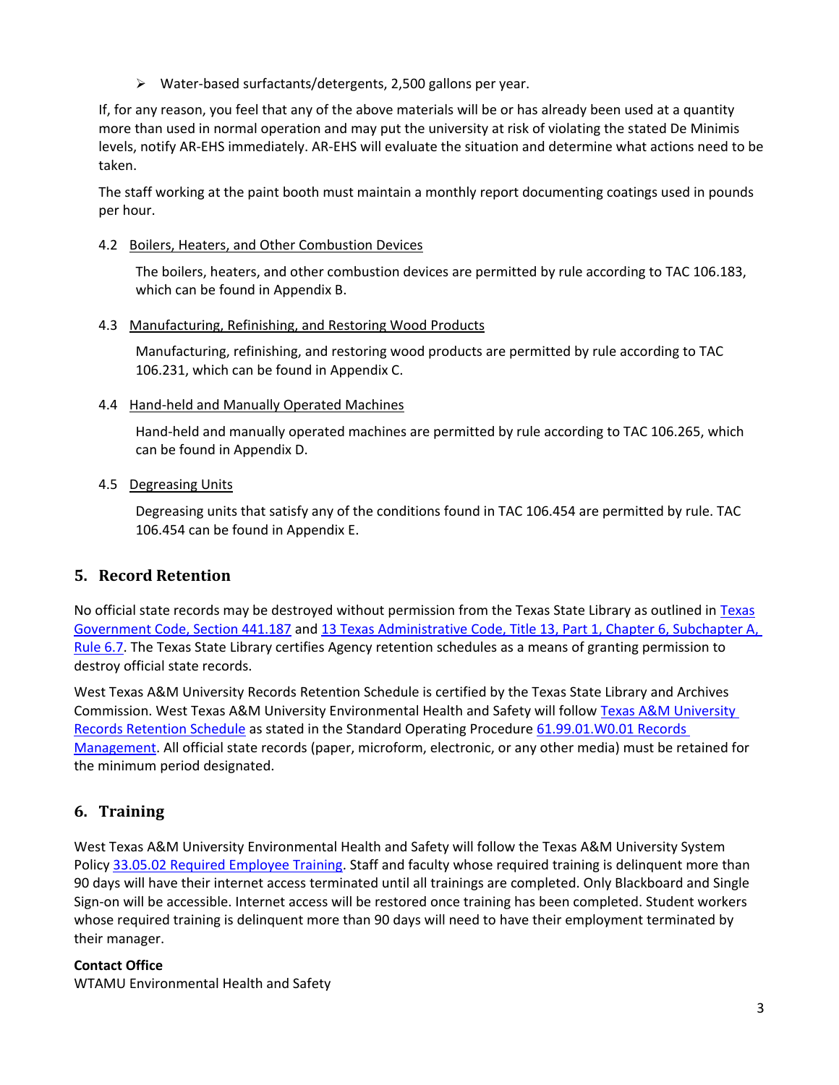Water-based surfactants/detergents, 2,500 gallons per year.

If, for any reason, you feel that any of the above materials will be or has already been used at a quantity more than used in normal operation and may put the university at risk of violating the stated De Minimis levels, notify AR-EHS immediately. AR-EHS will evaluate the situation and determine what actions need to be taken.

The staff working at the paint booth must maintain a monthly report documenting coatings used in pounds per hour.

<span id="page-2-0"></span>4.2 Boilers, Heaters, and Other Combustion Devices

The boilers, heaters, and other combustion devices are permitted by rule according to TAC 106.183, which can be found in Appendix B.

## <span id="page-2-1"></span>4.3 Manufacturing, Refinishing, and Restoring Wood Products

Manufacturing, refinishing, and restoring wood products are permitted by rule according to TAC 106.231, which can be found in Appendix C.

## <span id="page-2-2"></span>4.4 Hand-held and Manually Operated Machines

Hand-held and manually operated machines are permitted by rule according to TAC 106.265, which can be found in Appendix D.

## <span id="page-2-3"></span>4.5 Degreasing Units

Degreasing units that satisfy any of the conditions found in TAC 106.454 are permitted by rule. TAC 106.454 can be found in Appendix E.

## <span id="page-2-4"></span>**5. Record Retention**

No official state records may be destroyed without permission from the [Texas](http://www.statutes.legis.state.tx.us/?link=GV) State Library as outlined in Texas [Government Code, Section 441.187](http://www.statutes.legis.state.tx.us/?link=GV) an[d 13 Texas Administrative Code, Title 13, Part 1, Chapter 6, Subchapter A,](http://txrules.elaws.us/rule/title13_chapter6_sec.6.7)  [Rule](http://txrules.elaws.us/rule/title13_chapter6_sec.6.7) 6.7. The Texas State Library certifies Agency retention schedules as a means of granting permission to destroy official state records.

West Texas A&M University Records Retention Schedule is certified by the Texas State Library and Archives Commission. West Texas A&M University Environmental Health and Safety will follow [Texas A&M](https://www.wtamu.edu/webres/File/Risk%20Management/System-Records-Retention-Schedule.pdf) University [Records Retention Schedule](https://www.wtamu.edu/webres/File/Risk%20Management/System-Records-Retention-Schedule.pdf) as stated in the Standard Operating Procedure [61.99.01.W0.01 Records](http://www.wtamu.edu/webres/File/Risk%20Management/61.99.01.W0.01_PROCEDURE_Records%20Management_FINAL%20SIGNED.pdf)  [Management.](http://www.wtamu.edu/webres/File/Risk%20Management/61.99.01.W0.01_PROCEDURE_Records%20Management_FINAL%20SIGNED.pdf) All official state records (paper, microform, electronic, or any other media) must be retained for the minimum period designated.

## <span id="page-2-5"></span>**6. Training**

West Texas A&M University Environmental Health and Safety will follow the Texas A&M University System Polic[y 33.05.02 Required Employee Training.](http://policies.tamus.edu/33-05-02.pdf) Staff and faculty whose required training is delinquent more than 90 days will have their internet access terminated until all trainings are completed. Only Blackboard and Single Sign-on will be accessible. Internet access will be restored once training has been completed. Student workers whose required training is delinquent more than 90 days will need to have their employment terminated by their manager.

## **Contact Office**

WTAMU Environmental Health and Safety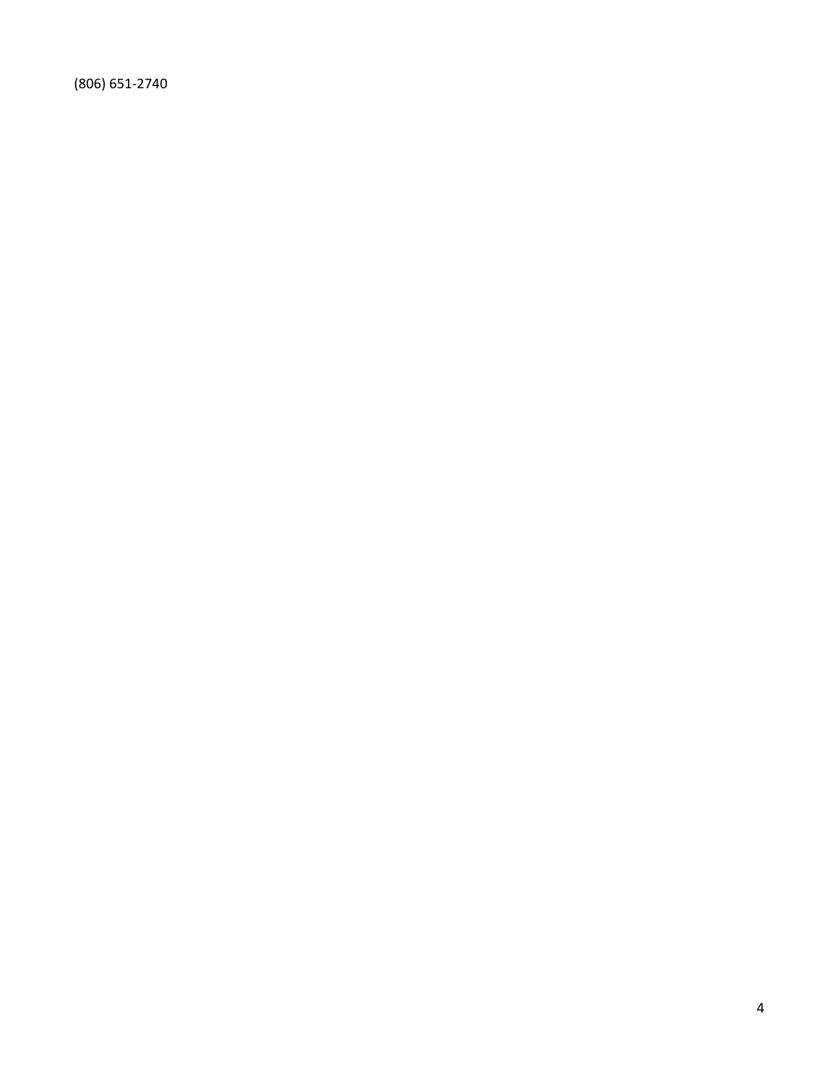(806) 651-2740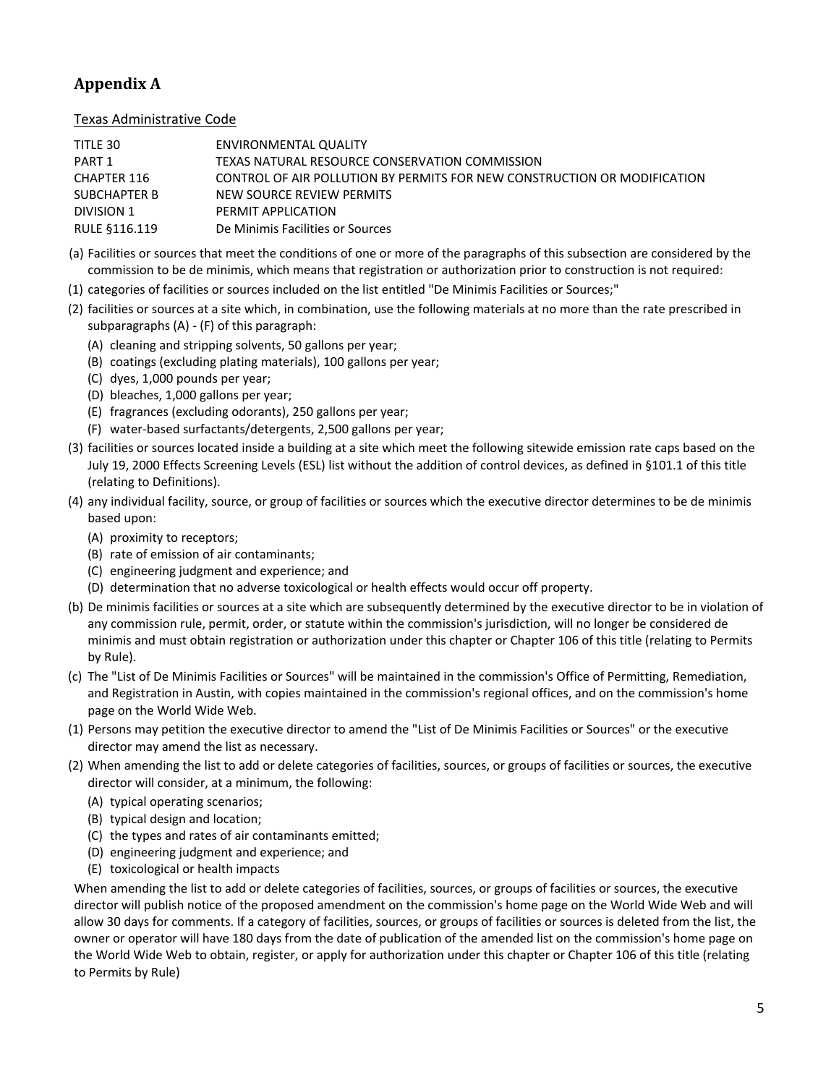# <span id="page-4-0"></span>**Appendix A**

<span id="page-4-1"></span>Texas Administrative Code

| TITLE 30      | ENVIRONMENTAL QUALITY                                                    |
|---------------|--------------------------------------------------------------------------|
| PART 1        | TEXAS NATURAL RESOURCE CONSERVATION COMMISSION                           |
| CHAPTER 116   | CONTROL OF AIR POLLUTION BY PERMITS FOR NEW CONSTRUCTION OR MODIFICATION |
| SUBCHAPTER B  | NEW SOURCE REVIEW PERMITS                                                |
| DIVISION 1    | PERMIT APPLICATION                                                       |
| RULE §116.119 | De Minimis Facilities or Sources                                         |

- (a) Facilities or sources that meet the conditions of one or more of the paragraphs of this subsection are considered by the commission to be de minimis, which means that registration or authorization prior to construction is not required:
- (1) categories of facilities or sources included on the list entitled "De Minimis Facilities or Sources;"
- (2) facilities or sources at a site which, in combination, use the following materials at no more than the rate prescribed in subparagraphs (A) - (F) of this paragraph:
	- (A) cleaning and stripping solvents, 50 gallons per year;
	- (B) coatings (excluding plating materials), 100 gallons per year;
	- (C) dyes, 1,000 pounds per year;
	- (D) bleaches, 1,000 gallons per year;
	- (E) fragrances (excluding odorants), 250 gallons per year;
	- (F) water-based surfactants/detergents, 2,500 gallons per year;
- (3) facilities or sources located inside a building at a site which meet the following sitewide emission rate caps based on the July 19, 2000 Effects Screening Levels (ESL) list without the addition of control devices, as defined in §101.1 of this title (relating to Definitions).
- (4) any individual facility, source, or group of facilities or sources which the executive director determines to be de minimis based upon:
	- (A) proximity to receptors;
	- (B) rate of emission of air contaminants;
	- (C) engineering judgment and experience; and
	- (D) determination that no adverse toxicological or health effects would occur off property.
- (b) De minimis facilities or sources at a site which are subsequently determined by the executive director to be in violation of any commission rule, permit, order, or statute within the commission's jurisdiction, will no longer be considered de minimis and must obtain registration or authorization under this chapter or Chapter 106 of this title (relating to Permits by Rule).
- (c) The "List of De Minimis Facilities or Sources" will be maintained in the commission's Office of Permitting, Remediation, and Registration in Austin, with copies maintained in the commission's regional offices, and on the commission's home page on the World Wide Web.
- (1) Persons may petition the executive director to amend the "List of De Minimis Facilities or Sources" or the executive director may amend the list as necessary.
- (2) When amending the list to add or delete categories of facilities, sources, or groups of facilities or sources, the executive director will consider, at a minimum, the following:
	- (A) typical operating scenarios;
	- (B) typical design and location;
	- (C) the types and rates of air contaminants emitted;
	- (D) engineering judgment and experience; and
	- (E) toxicological or health impacts

When amending the list to add or delete categories of facilities, sources, or groups of facilities or sources, the executive director will publish notice of the proposed amendment on the commission's home page on the World Wide Web and will allow 30 days for comments. If a category of facilities, sources, or groups of facilities or sources is deleted from the list, the owner or operator will have 180 days from the date of publication of the amended list on the commission's home page on the World Wide Web to obtain, register, or apply for authorization under this chapter or Chapter 106 of this title (relating to Permits by Rule)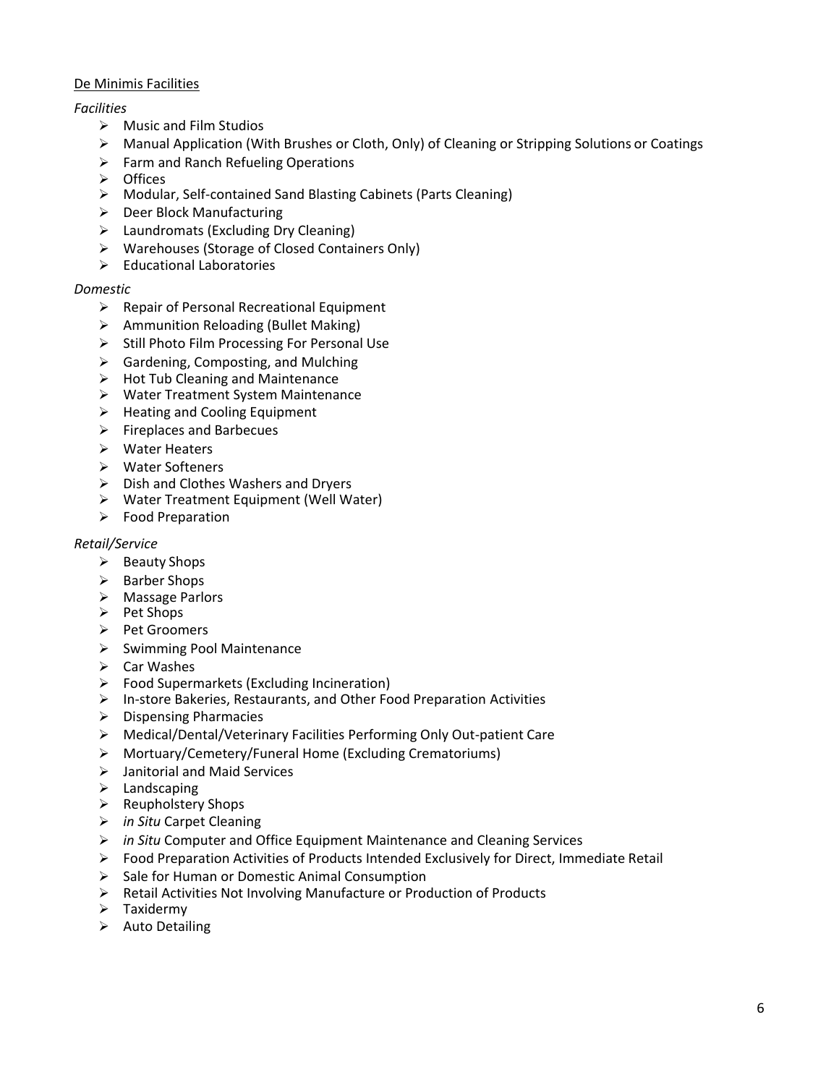## <span id="page-5-0"></span>De Minimis Facilities

## *Facilities*

- $\triangleright$  Music and Film Studios
- $\triangleright$  Manual Application (With Brushes or Cloth, Only) of Cleaning or Stripping Solutions or Coatings
- $\triangleright$  Farm and Ranch Refueling Operations
- > Offices
- Modular, Self-contained Sand Blasting Cabinets (Parts Cleaning)
- $\triangleright$  Deer Block Manufacturing
- $\triangleright$  Laundromats (Excluding Dry Cleaning)
- Warehouses (Storage of Closed Containers Only)
- $\triangleright$  Educational Laboratories

#### *Domestic*

- $\triangleright$  Repair of Personal Recreational Equipment
- $\triangleright$  Ammunition Reloading (Bullet Making)
- $\triangleright$  Still Photo Film Processing For Personal Use
- $\triangleright$  Gardening, Composting, and Mulching
- $\triangleright$  Hot Tub Cleaning and Maintenance
- Water Treatment System Maintenance
- $\triangleright$  Heating and Cooling Equipment
- $\triangleright$  Fireplaces and Barbecues
- Water Heaters
- Water Softeners
- $\triangleright$  Dish and Clothes Washers and Dryers
- Water Treatment Equipment (Well Water)
- $\triangleright$  Food Preparation

#### *Retail/Service*

- $\triangleright$  Beauty Shops
- $\triangleright$  Barber Shops
- > Massage Parlors
- $\triangleright$  Pet Shops
- Pet Groomers
- $\triangleright$  Swimming Pool Maintenance
- $\triangleright$  Car Washes
- $\triangleright$  Food Supermarkets (Excluding Incineration)
- $\triangleright$  In-store Bakeries, Restaurants, and Other Food Preparation Activities
- $\triangleright$  Dispensing Pharmacies
- Medical/Dental/Veterinary Facilities Performing Only Out-patient Care
- Mortuary/Cemetery/Funeral Home (Excluding Crematoriums)
- Janitorial and Maid Services
- $\blacktriangleright$  Landscaping
- $\triangleright$  Reupholstery Shops
- *in Situ* Carpet Cleaning
- *in Situ* Computer and Office Equipment Maintenance and Cleaning Services
- $\triangleright$  Food Preparation Activities of Products Intended Exclusively for Direct, Immediate Retail
- $\triangleright$  Sale for Human or Domestic Animal Consumption
- $\triangleright$  Retail Activities Not Involving Manufacture or Production of Products
- $\triangleright$  Taxidermy
- $\triangleright$  Auto Detailing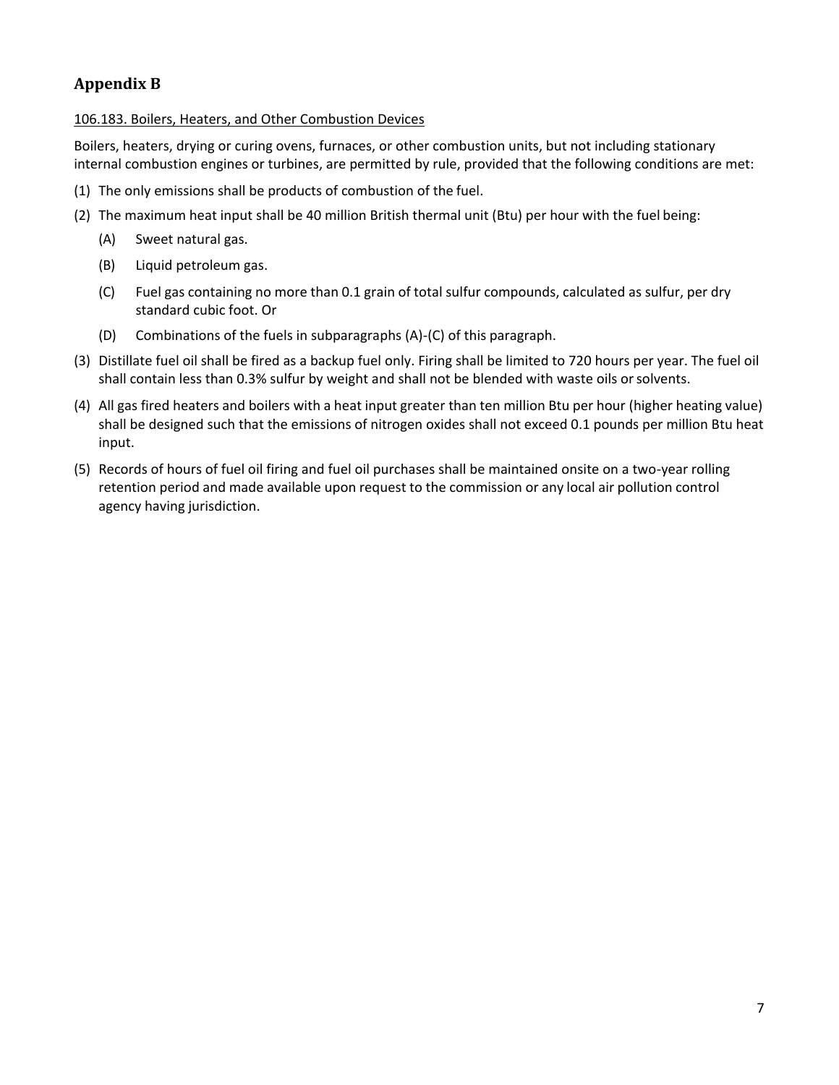# <span id="page-6-0"></span>**Appendix B**

<span id="page-6-1"></span>106.183. Boilers, Heaters, and Other Combustion Devices

Boilers, heaters, drying or curing ovens, furnaces, or other combustion units, but not including stationary internal combustion engines or turbines, are permitted by rule, provided that the following conditions are met:

- (1) The only emissions shall be products of combustion of the fuel.
- (2) The maximum heat input shall be 40 million British thermal unit (Btu) per hour with the fuel being:
	- (A) Sweet natural gas.
	- (B) Liquid petroleum gas.
	- (C) Fuel gas containing no more than 0.1 grain of total sulfur compounds, calculated as sulfur, per dry standard cubic foot. Or
	- (D) Combinations of the fuels in subparagraphs (A)-(C) of this paragraph.
- (3) Distillate fuel oil shall be fired as a backup fuel only. Firing shall be limited to 720 hours per year. The fuel oil shall contain less than 0.3% sulfur by weight and shall not be blended with waste oils orsolvents.
- (4) All gas fired heaters and boilers with a heat input greater than ten million Btu per hour (higher heating value) shall be designed such that the emissions of nitrogen oxides shall not exceed 0.1 pounds per million Btu heat input.
- (5) Records of hours of fuel oil firing and fuel oil purchases shall be maintained onsite on a two-year rolling retention period and made available upon request to the commission or any local air pollution control agency having jurisdiction.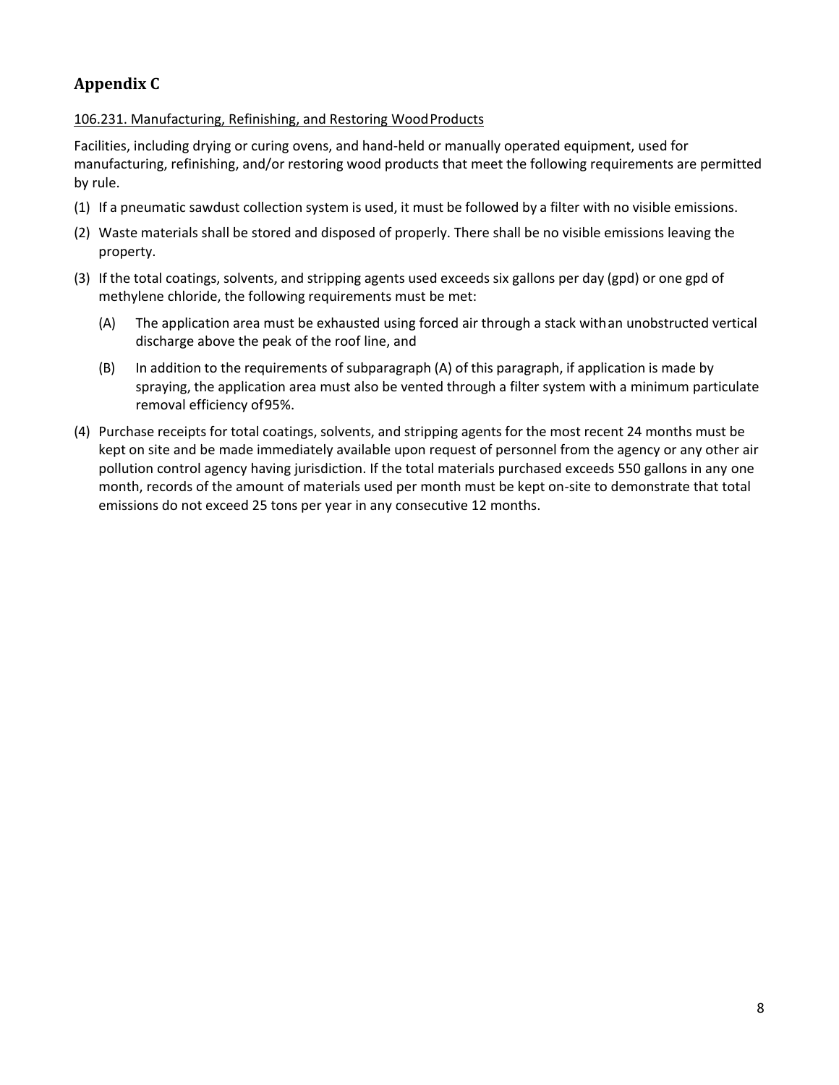# <span id="page-7-0"></span>**Appendix C**

## <span id="page-7-1"></span>106.231. Manufacturing, Refinishing, and Restoring Wood Products

Facilities, including drying or curing ovens, and hand-held or manually operated equipment, used for manufacturing, refinishing, and/or restoring wood products that meet the following requirements are permitted by rule.

- (1) If a pneumatic sawdust collection system is used, it must be followed by a filter with no visible emissions.
- (2) Waste materials shall be stored and disposed of properly. There shall be no visible emissions leaving the property.
- (3) If the total coatings, solvents, and stripping agents used exceeds six gallons per day (gpd) or one gpd of methylene chloride, the following requirements must be met:
	- (A) The application area must be exhausted using forced air through a stack withan unobstructed vertical discharge above the peak of the roof line, and
	- (B) In addition to the requirements of subparagraph (A) of this paragraph, if application is made by spraying, the application area must also be vented through a filter system with a minimum particulate removal efficiency of95%.
- (4) Purchase receipts for total coatings, solvents, and stripping agents for the most recent 24 months must be kept on site and be made immediately available upon request of personnel from the agency or any other air pollution control agency having jurisdiction. If the total materials purchased exceeds 550 gallons in any one month, records of the amount of materials used per month must be kept on-site to demonstrate that total emissions do not exceed 25 tons per year in any consecutive 12 months.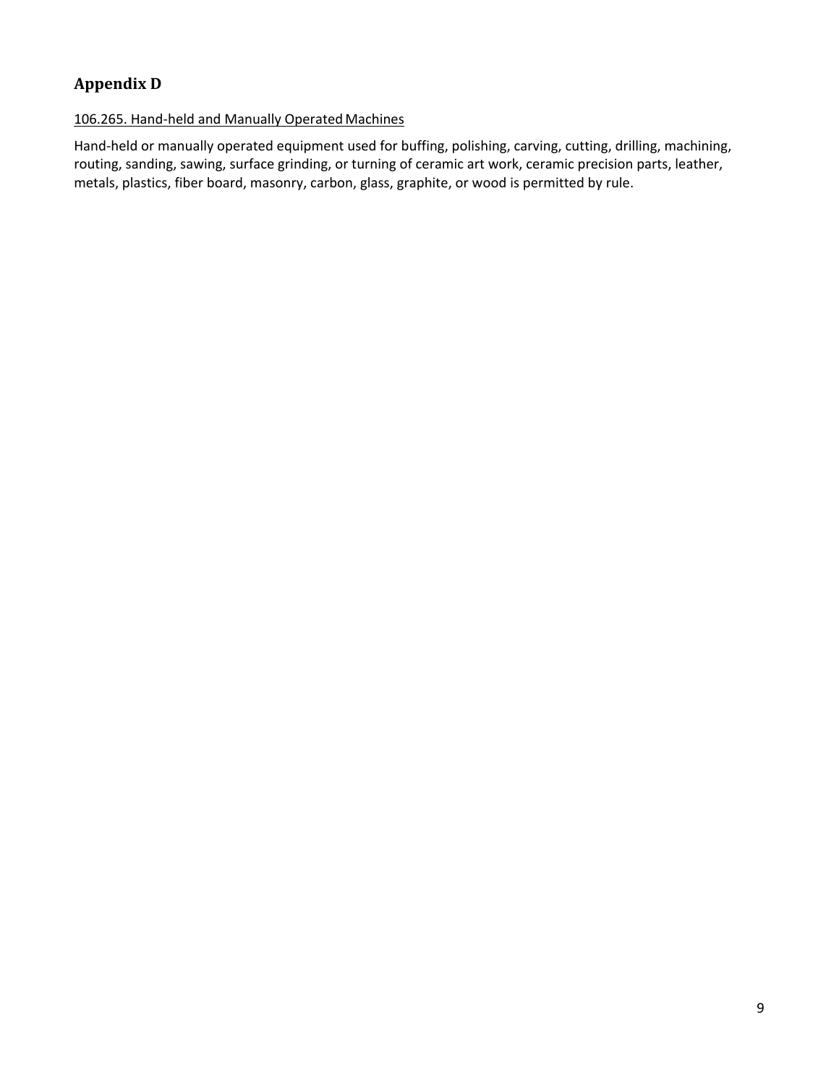# <span id="page-8-0"></span>**Appendix D**

## <span id="page-8-1"></span>106.265. Hand-held and Manually Operated Machines

Hand-held or manually operated equipment used for buffing, polishing, carving, cutting, drilling, machining, routing, sanding, sawing, surface grinding, or turning of ceramic art work, ceramic precision parts, leather, metals, plastics, fiber board, masonry, carbon, glass, graphite, or wood is permitted by rule.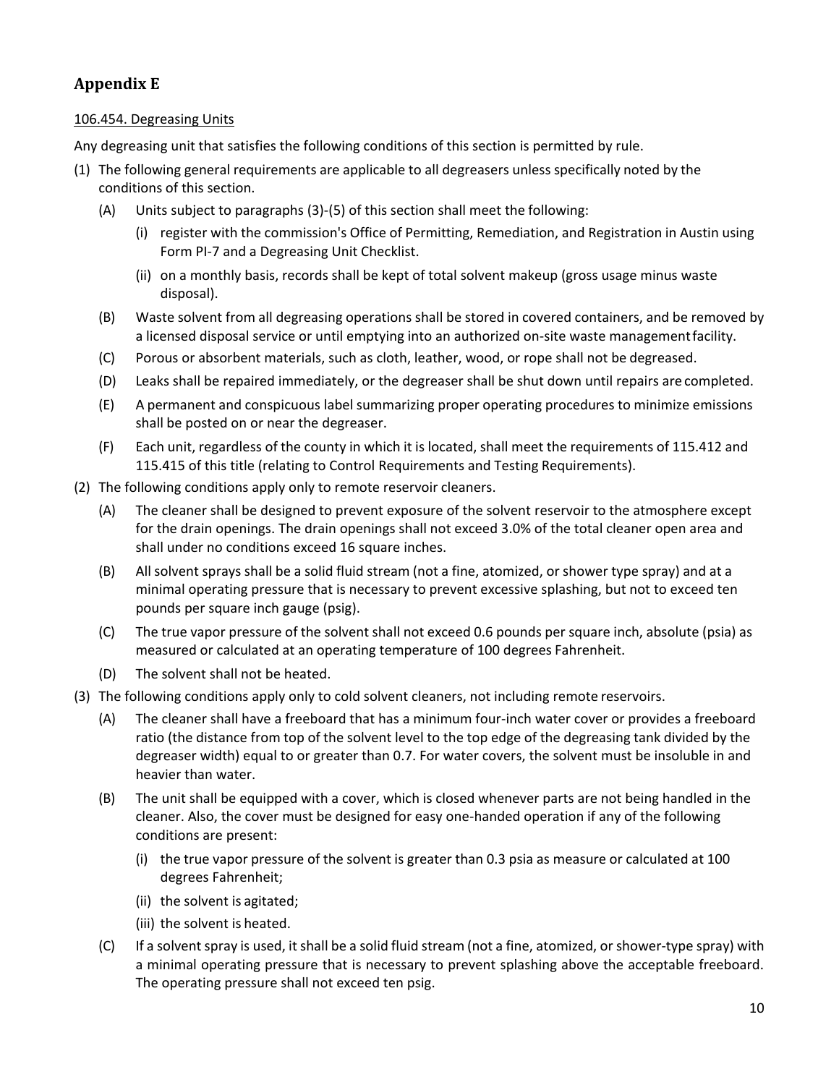# <span id="page-9-0"></span>**Appendix E**

## <span id="page-9-1"></span>106.454. Degreasing Units

Any degreasing unit that satisfies the following conditions of this section is permitted by rule.

- (1) The following general requirements are applicable to all degreasers unless specifically noted by the conditions of this section.
	- (A) Units subject to paragraphs (3)-(5) of this section shall meet the following:
		- (i) register with the commission's Office of Permitting, Remediation, and Registration in Austin using Form PI-7 and a Degreasing Unit Checklist.
		- (ii) on a monthly basis, records shall be kept of total solvent makeup (gross usage minus waste disposal).
	- (B) Waste solvent from all degreasing operations shall be stored in covered containers, and be removed by a licensed disposal service or until emptying into an authorized on-site waste managementfacility.
	- (C) Porous or absorbent materials, such as cloth, leather, wood, or rope shall not be degreased.
	- (D) Leaks shall be repaired immediately, or the degreaser shall be shut down until repairs are completed.
	- (E) A permanent and conspicuous label summarizing proper operating procedures to minimize emissions shall be posted on or near the degreaser.
	- (F) Each unit, regardless of the county in which it is located, shall meet the requirements of 115.412 and 115.415 of this title (relating to Control Requirements and Testing Requirements).
- (2) The following conditions apply only to remote reservoir cleaners.
	- (A) The cleaner shall be designed to prevent exposure of the solvent reservoir to the atmosphere except for the drain openings. The drain openings shall not exceed 3.0% of the total cleaner open area and shall under no conditions exceed 16 square inches.
	- (B) All solvent sprays shall be a solid fluid stream (not a fine, atomized, or shower type spray) and at a minimal operating pressure that is necessary to prevent excessive splashing, but not to exceed ten pounds per square inch gauge (psig).
	- (C) The true vapor pressure of the solvent shall not exceed 0.6 pounds per square inch, absolute (psia) as measured or calculated at an operating temperature of 100 degrees Fahrenheit.
	- (D) The solvent shall not be heated.
- (3) The following conditions apply only to cold solvent cleaners, not including remote reservoirs.
	- (A) The cleaner shall have a freeboard that has a minimum four-inch water cover or provides a freeboard ratio (the distance from top of the solvent level to the top edge of the degreasing tank divided by the degreaser width) equal to or greater than 0.7. For water covers, the solvent must be insoluble in and heavier than water.
	- (B) The unit shall be equipped with a cover, which is closed whenever parts are not being handled in the cleaner. Also, the cover must be designed for easy one-handed operation if any of the following conditions are present:
		- (i) the true vapor pressure of the solvent is greater than 0.3 psia as measure or calculated at 100 degrees Fahrenheit;
		- (ii) the solvent is agitated;
		- (iii) the solvent is heated.
	- (C) If a solvent spray is used, it shall be a solid fluid stream (not a fine, atomized, or shower-type spray) with a minimal operating pressure that is necessary to prevent splashing above the acceptable freeboard. The operating pressure shall not exceed ten psig.